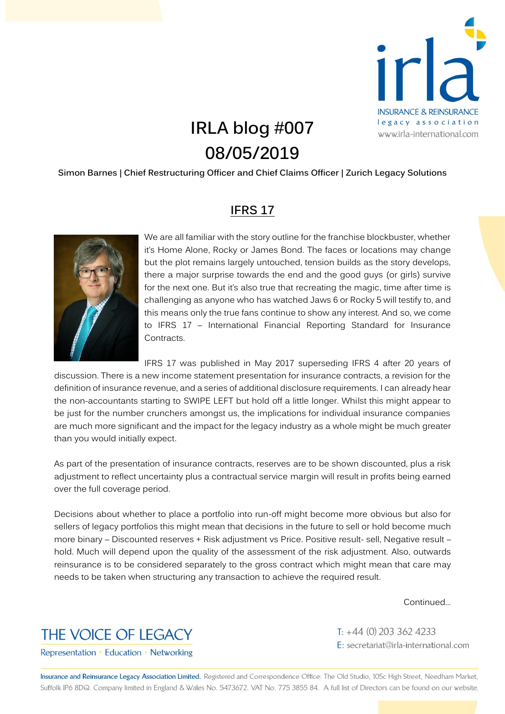

## **IRLA blog #007 08/05/2019**

## **Simon Barnes | Chief Restructuring Officer and Chief Claims Officer | Zurich Legacy Solutions**

## **IFRS 17**



We are all familiar with the story outline for the franchise blockbuster, whether it's Home Alone, Rocky or James Bond. The faces or locations may change but the plot remains largely untouched, tension builds as the story develops, there a major surprise towards the end and the good guys (or girls) survive for the next one. But it's also true that recreating the magic, time after time is challenging as anyone who has watched Jaws 6 or Rocky 5 will testify to, and this means only the true fans continue to show any interest. And so, we come to IFRS 17 – International Financial Reporting Standard for Insurance Contracts.

IFRS 17 was published in May 2017 superseding IFRS 4 after 20 years of discussion. There is a new income statement presentation for insurance contracts, a revision for the definition of insurance revenue, and a series of additional disclosure requirements. I can already hear the non-accountants starting to SWIPE LEFT but hold off a little longer. Whilst this might appear to be just for the number crunchers amongst us, the implications for individual insurance companies are much more significant and the impact for the legacy industry as a whole might be much greater than you would initially expect.

As part of the presentation of insurance contracts, reserves are to be shown discounted, plus a risk adjustment to reflect uncertainty plus a contractual service margin will result in profits being earned over the full coverage period.

Decisions about whether to place a portfolio into run-off might become more obvious but also for sellers of legacy portfolios this might mean that decisions in the future to sell or hold become much more binary – Discounted reserves + Risk adjustment vs Price. Positive result- sell, Negative result – hold. Much will depend upon the quality of the assessment of the risk adjustment. Also, outwards reinsurance is to be considered separately to the gross contract which might mean that care may needs to be taken when structuring any transaction to achieve the required result.

Continued…



 $T: +44(0)$  203 362 4233 E: secretariat@irla-international.com

Representation · Education · Networking

Insurance and Reinsurance Legacy Association Limited. Registered and Correspondence Office: The Old Studio, 105c High Street, Needham Market, Suffolk IP6 8DQ. Company limited in England & Wales No. 5473672. VAT No. 775 3855 84. A full list of Directors can be found on our website.